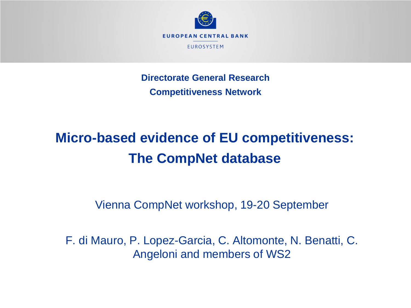

**Directorate General Research Competitiveness Network**

# **Micro-based evidence of EU competitiveness: The CompNet database**

Vienna CompNet workshop, 19-20 September

F. di Mauro, P. Lopez-Garcia, C. Altomonte, N. Benatti, C. Angeloni and members of WS2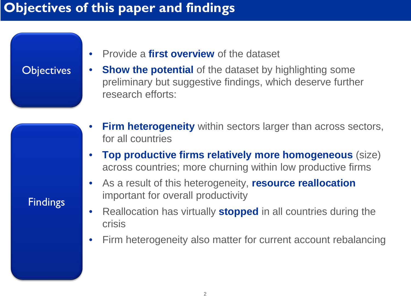#### **Objectives of this paper and findings**

#### • Provide a **first overview** of the dataset

#### **Objectives**

- **Show the potential** of the dataset by highlighting some preliminary but suggestive findings, which deserve further research efforts:
- **Firm heterogeneity** within sectors larger than across sectors, for all countries
- **Top productive firms relatively more homogeneous** (size) across countries; more churning within low productive firms
- As a result of this heterogeneity, **resource reallocation** important for overall productivity
- Reallocation has virtually **stopped** in all countries during the crisis
- Firm heterogeneity also matter for current account rebalancing

**Findings**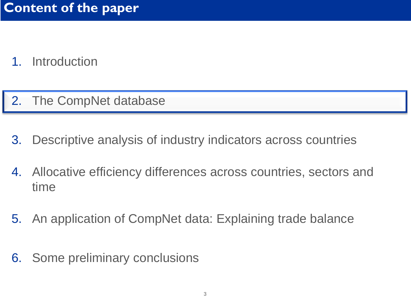- 1. Introduction
- 2. The CompNet database
- 3. Descriptive analysis of industry indicators across countries
- 4. Allocative efficiency differences across countries, sectors and time
- 5. An application of CompNet data: Explaining trade balance
- 6. Some preliminary conclusions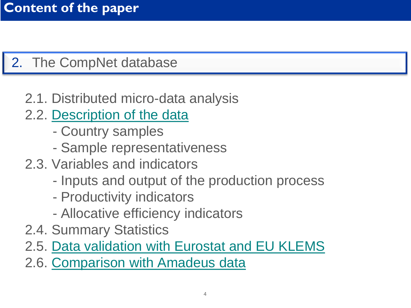# 2. The CompNet database

# 2.1. Distributed micro-data analysis

- 2.2. [Description of the data](#page-4-0)
	- Country samples
	- Sample representativeness
- 2.3. Variables and indicators
	- Inputs and output of the production process
	- Productivity indicators
	- Allocative efficiency indicators
- 2.4. Summary Statistics
- 2.5. [Data validation with Eurostat and EU KLEMS](#page-6-0)

2.6. [Comparison with Amadeus data](#page-8-0)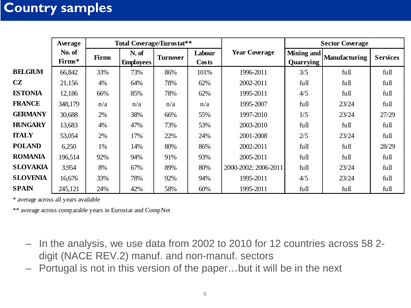#### <span id="page-4-0"></span>**Country samples**

|                 | Average          |              | <b>Total Coverage/Eurostat**</b> |                 |                 |                      |                         | <b>Sector Coverage</b> |                 |
|-----------------|------------------|--------------|----------------------------------|-----------------|-----------------|----------------------|-------------------------|------------------------|-----------------|
|                 | No. of<br>Firms* | <b>Firms</b> | N. of<br><b>Employees</b>        | <b>Turnover</b> | Labour<br>Costs | <b>Year Coverage</b> | Mining and<br>Quarrying | <b>Manufacturing</b>   | <b>Services</b> |
| <b>BELGIUM</b>  | 66,842           | 33%          | 73%                              | 86%             | 101%            | 1996-2011            | 3/5                     | full                   | full            |
| CZ              | 21,156           | 4%           | 64%                              | 78%             | 62%             | 2002-2011            | full                    | full                   | full            |
| <b>ESTONIA</b>  | 12,186           | 66%          | 85%                              | 78%             | 62%             | 1995-2011            | 4/5                     | full                   | full            |
| <b>FRANCE</b>   | 348,179          | n/a          | n/a                              | n/a             | n/a             | 1995-2007            | full                    | 23/24                  | full            |
| <b>GERMANY</b>  | 30,688           | 2%           | 38%                              | 66%             | 55%             | 1997-2010            | 1/5                     | 23/24                  | 27/29           |
| <b>HUNGARY</b>  | 13,683           | 4%           | 47%                              | 73%             | 53%             | 2003-2010            | full                    | full                   | full            |
| <b>ITALY</b>    | 53,054           | 2%           | 17%                              | 22%             | 24%             | 2001-2008            | 2/5                     | 23/24                  | full            |
| <b>POLAND</b>   | 6,250            | 1%           | 14%                              | 80%             | 86%             | 2002-2011            | full                    | full                   | 28/29           |
| <b>ROMANIA</b>  | 196,514          | 92%          | 94%                              | 91%             | 93%             | 2005-2011            | full                    | full                   | full            |
| <b>SLOVAKIA</b> | 3,954            | 8%           | 67%                              | 89%             | 80%             | 2000-2002; 2006-2011 | full                    | 23/24                  | full            |
| <b>SLOVENIA</b> | 16,676           | 33%          | 78%                              | 92%             | 94%             | 1995-2011            | 4/5                     | 23/24                  | full            |
| <b>SPAIN</b>    | 245,121          | 24%          | 42%                              | 58%             | 60%             | 1995-2011            | full                    | full                   | full            |

\* average across all years available

\*\* average across comparable years in Eurostat and CompNet

- In the analysis, we use data from 2002 to 2010 for 12 countries across 58 2 digit (NACE REV.2) manuf. and non-manuf. sectors
- Portugal is not in this version of the paper…but it will be in the next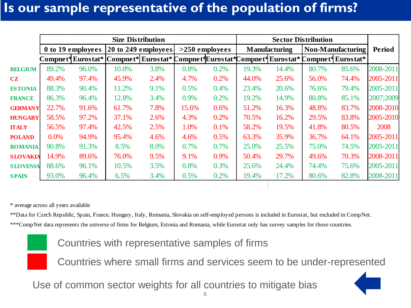#### **Is our sample representative of the population of firms?**

|                 |       |                   |       | <b>Size Distribution</b>                                                                       |         |                  |       |                      | <b>Sector Distribution</b> |                          |           |
|-----------------|-------|-------------------|-------|------------------------------------------------------------------------------------------------|---------|------------------|-------|----------------------|----------------------------|--------------------------|-----------|
|                 |       | 0 to 19 employees |       | $ 20 \text{ to } 249 \text{ employees} $                                                       |         | $>250$ employees |       | <b>Manufacturing</b> |                            | <b>Non-Manufacturing</b> | Period    |
|                 |       |                   |       | Compnet* Eurostat* Compnet* Eurostat* Compnet* Eurostat* Compnet* Eurostat* Compnet* Eurostat* |         |                  |       |                      |                            |                          |           |
| <b>BELGIUM</b>  | 89.2% | 96.0%             | 10.0% | 3.8%                                                                                           | 0.8%    | 0.2%             | 19.3% | 14.4%                | 80.7%                      | 85.6%                    | 2008-2011 |
| CZ              | 49.4% | 97.4%             | 45.9% | 2.4%                                                                                           | 4.7%    | 0.2%             | 44.0% | 25.6%                | 56.0%                      | 74.4%                    | 2005-2011 |
| <b>ESTONIA</b>  | 88.3% | 90.4%             | 11.2% | 9.1%                                                                                           | 0.5%    | 0.4%             | 23.4% | 20.6%                | 76.6%                      | 79.4%                    | 2005-2011 |
| <b>FRANCE</b>   | 86.3% | 96.4%             | 12.8% | 3.4%                                                                                           | $0.9\%$ | 0.2%             | 19.2% | 14.9%                | 80.8%                      | 85.1%                    | 2007;2009 |
| <b>GERMANY</b>  | 22.7% | 91.6%             | 61.7% | 7.8%                                                                                           | 15.6%   | 0.6%             | 51.2% | 16.3%                | 48.8%                      | 83.7%                    | 2008-2010 |
| <b>HUNGARY</b>  | 58.5% | 97.2%             | 37.1% | 2.6%                                                                                           | 4.3%    | 0.2%             | 70.5% | 16.2%                | 29.5%                      | 83.8%                    | 2005-2010 |
| <b>ITALY</b>    | 56.5% | 97.4%             | 42.5% | 2.5%                                                                                           | 1.0%    | 0.1%             | 58.2% | 19.5%                | 41.8%                      | 80.5%                    | 2008      |
| <b>POLAND</b>   | 0.0%  | 94.9%             | 95.4% | 4.6%                                                                                           | 4.6%    | 0.5%             | 63.3% | 35.9%                | 36.7%                      | 64.1%                    | 2005-2011 |
| <b>ROMANIA</b>  | 90.8% | 91.3%             | 8.5%  | 8.0%                                                                                           | 0.7%    | 0.7%             | 25.0% | 25.5%                | 75.0%                      | 74.5%                    | 2005-2011 |
| <b>SLOVAKIA</b> | 14.9% | 89.6%             | 76.0% | 9.5%                                                                                           | 9.1%    | 0.9%             | 50.4% | 29.7%                | 49.6%                      | 70.3%                    | 2008-2011 |
| <b>SLOVENIA</b> | 88.6% | 96.1%             | 10.5% | 3.5%                                                                                           | 0.8%    | 0.3%             | 25.6% | 24.4%                | 74.4%                      | 75.6%                    | 2005-2011 |
| <b>SPAIN</b>    | 93.0% | 96.4%             | 6.5%  | 3.4%                                                                                           | 0.5%    | 0.2%             | 19.4% | 17.2%                | 80.6%                      | 82.8%                    | 2008-2011 |

\* average across all years available

\*\*Data for Czech Republic, Spain, France, Hungary, Italy, Romania, Slovakia on self-employed persons is included in Eurostat, but excluded in CompNet. \*\*\*CompNet data represents the universe of firms for Belgium, Estonia and Romania, while Eurostat only has survey samples for those countries.

Countries with representative samples of firms

Countries where small firms and services seem to be under-represented

Use of common sector weights for all countries to mitigate bias

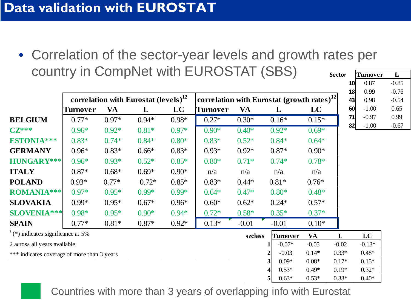<span id="page-6-0"></span>• Correlation of the sector-year levels and growth rates per country in CompNet with EUROSTAT (SBS) **Sector Turnover L 10** 0.87 -0.85

|                                             |          |         |                                                  |         |                                                            |         |              |           | 18      | 0.99     | $-0.76$ |
|---------------------------------------------|----------|---------|--------------------------------------------------|---------|------------------------------------------------------------|---------|--------------|-----------|---------|----------|---------|
|                                             |          |         | correlation with Eurostat (levels) <sup>12</sup> |         | $ \textbf{correlation with Eurostat (growth rates)}^{12} $ |         |              |           | 43      | 0.98     | $-0.54$ |
|                                             | Turnover | VA      | L                                                | LC      | Turnover                                                   | VA      | L            | LC        | 60      | $-1.00$  | 0.65    |
| <b>BELGIUM</b>                              | $0.77*$  | $0.97*$ | $0.94*$                                          | $0.98*$ | $0.27*$                                                    | $0.30*$ | $0.16*$      | $0.15*$   | 71      | $-0.97$  | 0.99    |
| $C\mathbf{Z}^{***}$                         | $0.96*$  | $0.92*$ | $0.81*$                                          | $0.97*$ | $0.90*$                                                    | $0.40*$ | $0.92*$      | $0.69*$   | 82      | $-1.00$  | $-0.67$ |
| ESTONIA***                                  | $0.83*$  | $0.74*$ | $0.84*$                                          | $0.80*$ | $0.83*$                                                    | $0.52*$ | $0.84*$      | $0.64*$   |         |          |         |
| <b>GERMANY</b>                              | $0.96*$  | $0.83*$ | $0.66*$                                          | $0.83*$ | $0.93*$                                                    | $0.92*$ | $0.87*$      | $0.90*$   |         |          |         |
| HUNGARY***                                  | $0.96*$  | $0.93*$ | $0.52*$                                          | $0.85*$ | $0.80*$                                                    | $0.71*$ | $0.74*$      | $0.78*$   |         |          |         |
| <b>ITALY</b>                                | $0.87*$  | $0.68*$ | $0.69*$                                          | $0.90*$ | n/a                                                        | n/a     | n/a          | n/a       |         |          |         |
| <b>POLAND</b>                               | $0.93*$  | $0.77*$ | $0.72*$                                          | $0.85*$ | $0.83*$                                                    | $0.44*$ | $0.81*$      | $0.76*$   |         |          |         |
| <b>ROMANIA***</b>                           | $0.97*$  | $0.95*$ | $0.99*$                                          | $0.99*$ | $0.64*$                                                    | $0.47*$ | $0.80*$      | $0.48*$   |         |          |         |
| <b>SLOVAKIA</b>                             | $0.99*$  | $0.95*$ | $0.67*$                                          | $0.96*$ | $0.60*$                                                    | $0.62*$ | $0.24*$      | $0.57*$   |         |          |         |
| <b>SLOVENIA***</b>                          | $0.98*$  | $0.95*$ | $0.90*$                                          | $0.94*$ | $0.72*$                                                    | $0.58*$ | $0.35*$      | $0.37*$   |         |          |         |
| <b>SPAIN</b>                                | $0.77*$  | $0.81*$ | $0.87*$                                          | $0.92*$ | $0.13*$                                                    | $-0.01$ | $-0.01$      | $0.10*$   |         |          |         |
| $(*)$ indicates significance at 5%          |          |         |                                                  |         |                                                            | szclass | Turnover     | <b>VA</b> | L       | LC       |         |
| 2 across all years available                |          |         |                                                  |         |                                                            |         | $-0.07*$     | $-0.05$   | $-0.02$ | $-0.13*$ |         |
| *** indicates coverage of more than 3 years |          |         |                                                  |         |                                                            |         | $-0.03$      | $0.14*$   | $0.33*$ | $0.48*$  |         |
|                                             |          |         |                                                  |         |                                                            |         | $0.09*$      | $0.08*$   | $0.17*$ | $0.15*$  |         |
|                                             |          |         |                                                  |         |                                                            |         | $0.53*$      | $0.49*$   | $0.19*$ | $0.32*$  |         |
|                                             |          |         |                                                  |         |                                                            |         | $0.63*$<br>5 | $0.53*$   | $0.33*$ | $0.40*$  |         |

Countries with more than 3 years of overlapping info with Eurostat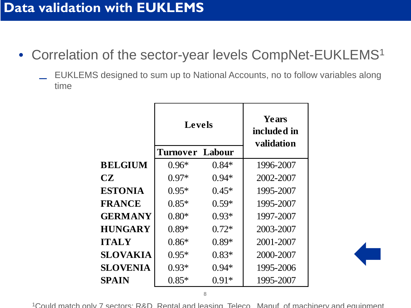- Correlation of the sector-year levels CompNet-EUKLEMS<sup>1</sup>
	- EUKLEMS designed to sum up to National Accounts, no to follow variables along time

|                | Levels                 |         | Years<br>included in<br>validation |
|----------------|------------------------|---------|------------------------------------|
|                | <b>Turnover Labour</b> |         |                                    |
| <b>BELGIUM</b> | $0.96*$                | $0.84*$ | 1996-2007                          |
| CZ             | $0.97*$                | $0.94*$ | 2002-2007                          |
| <b>ESTONIA</b> | $0.95*$                | $0.45*$ | 1995-2007                          |
| <b>FRANCE</b>  | $0.85*$                | $0.59*$ | 1995-2007                          |
| <b>GERMANY</b> | $0.80*$                | $0.93*$ | 1997-2007                          |
| <b>HUNGARY</b> | $0.89*$                | $0.72*$ | 2003-2007                          |
| ITALY          | $0.86*$                | $0.89*$ | 2001-2007                          |
| SLOVAKIA       | $0.95*$                | $0.83*$ | 2000-2007                          |
| SLOVENIA       | $0.93*$                | $0.94*$ | 1995-2006                          |
| SPAIN          | $0.85*$                | $0.91*$ | 1995-2007                          |

1Could match only 7 sectors: R&D Rental and leasing Teleco Manuf of machinery and equipment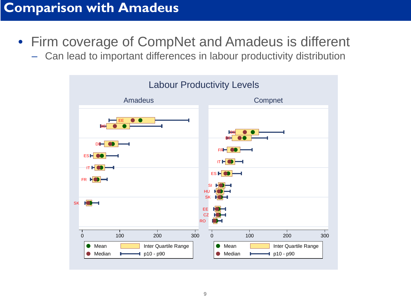#### <span id="page-8-0"></span>**Comparison with Amadeus**

- Firm coverage of CompNet and Amadeus is different
	- Can lead to important differences in labour productivity distribution

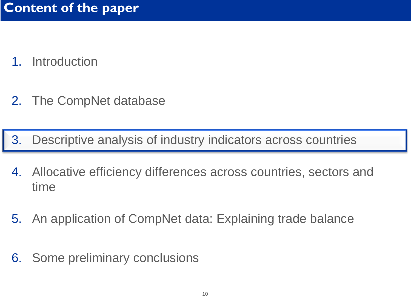- 1. Introduction
- 2. The CompNet database

3. Descriptive analysis of industry indicators across countries

- 4. Allocative efficiency differences across countries, sectors and time
- 5. An application of CompNet data: Explaining trade balance
- 6. Some preliminary conclusions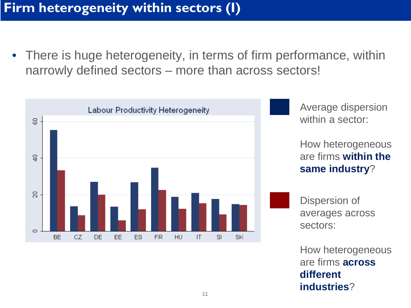• There is huge heterogeneity, in terms of firm performance, within narrowly defined sectors – more than across sectors!



How heterogeneous are firms **across different industries**?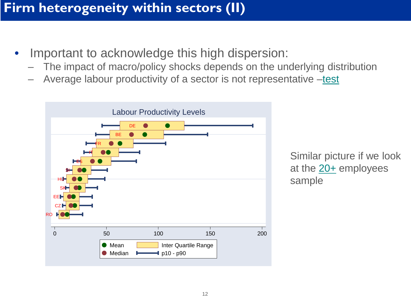## **Firm heterogeneity within sectors (II)**

- Important to acknowledge this high dispersion:
	- The impact of macro/policy shocks depends on the underlying distribution
	- Average labour productivity of a sector is not representative [–test](#page-28-0)



Similar picture if we look at the  $20+$  employees sample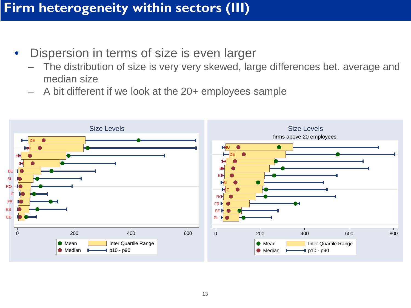#### **Firm heterogeneity within sectors (III)**

- Dispersion in terms of size is even larger
	- The distribution of size is very very skewed, large differences bet. average and median size
	- A bit different if we look at the 20+ employees sample

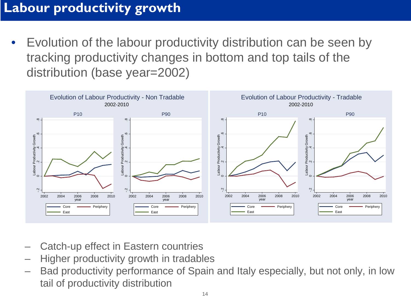# **Labour productivity growth**

• Evolution of the labour productivity distribution can be seen by tracking productivity changes in bottom and top tails of the distribution (base year=2002)



- Catch-up effect in Eastern countries
- Higher productivity growth in tradables
- Bad productivity performance of Spain and Italy especially, but not only, in low tail of productivity distribution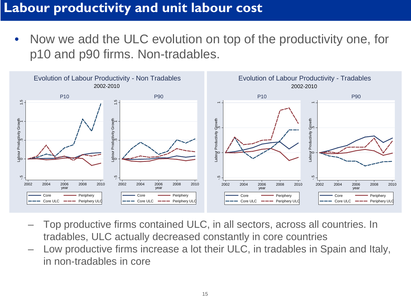#### **Labour productivity and unit labour cost**

• Now we add the ULC evolution on top of the productivity one, for p10 and p90 firms. Non-tradables.



- Top productive firms contained ULC, in all sectors, across all countries. In tradables, ULC actually decreased constantly in core countries
- Low productive firms increase a lot their ULC, in tradables in Spain and Italy, in non-tradables in core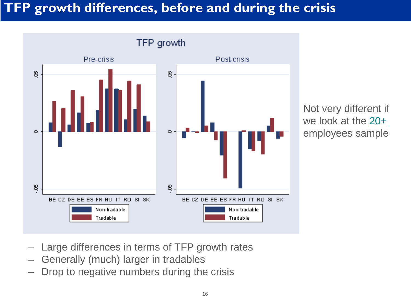# **TFP growth differences, before and during the crisis**



Not very different if we look at the [20+](#page-33-0) employees sample

- Large differences in terms of TFP growth rates
- Generally (much) larger in tradables
- Drop to negative numbers during the crisis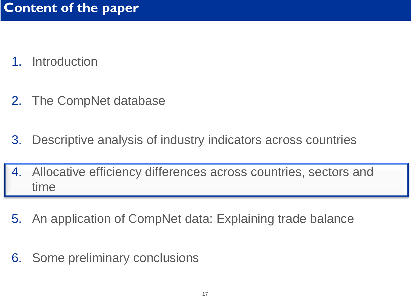- 1. Introduction
- 2. The CompNet database
- 3. Descriptive analysis of industry indicators across countries
- 4. Allocative efficiency differences across countries, sectors and time
- 5. An application of CompNet data: Explaining trade balance
- 6. Some preliminary conclusions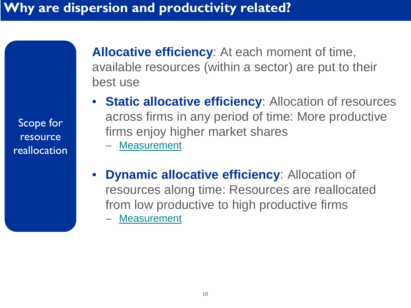**Allocative efficiency**: At each moment of time, available resources (within a sector) are put to their best use

- **Static allocative efficiency**: Allocation of resources across firms in any period of time: More productive firms enjoy higher market shares
	- [Measurement](#page-34-0)
- **Dynamic allocative efficiency**: Allocation of resources along time: Resources are reallocated from low productive to high productive firms **[Measurement](#page-35-0)**

Scope for resource reallocation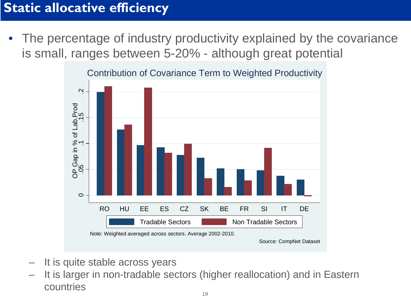#### **Static allocative efficiency**

The percentage of industry productivity explained by the covariance is small, ranges between 5-20% - although great potential



Contribution of Covariance Term to Weighted Productivity

- It is quite stable across years
- It is larger in non-tradable sectors (higher reallocation) and in Eastern countries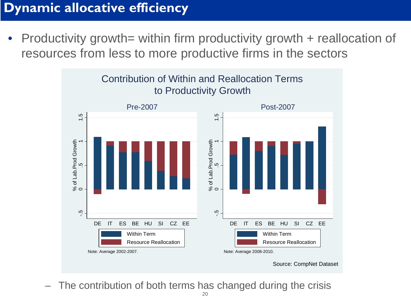### **Dynamic allocative efficiency**

• Productivity growth= within firm productivity growth + reallocation of resources from less to more productive firms in the sectors



The contribution of both terms has changed during the crisis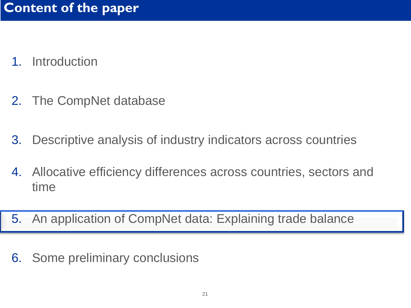- 1. Introduction
- 2. The CompNet database
- 3. Descriptive analysis of industry indicators across countries
- 4. Allocative efficiency differences across countries, sectors and time
- 5. An application of CompNet data: Explaining trade balance
- 6. Some preliminary conclusions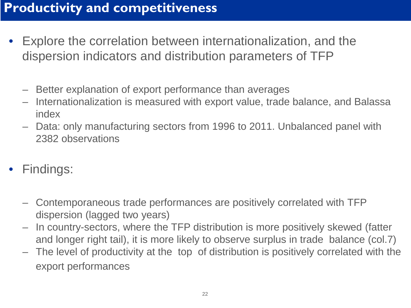### **Productivity and competitiveness**

- Explore the correlation between internationalization, and the dispersion indicators and distribution parameters of TFP
	- Better explanation of export performance than averages
	- Internationalization is measured with export value, trade balance, and Balassa index
	- Data: only manufacturing sectors from 1996 to 2011. Unbalanced panel with 2382 observations
- Findings:
	- Contemporaneous trade performances are positively correlated with TFP dispersion (lagged two years)
	- In country-sectors, where the TFP distribution is more positively skewed (fatter and longer right tail), it is more likely to observe surplus in trade balance (col.7)
	- The level of productivity at the top of distribution is positively correlated with the export performances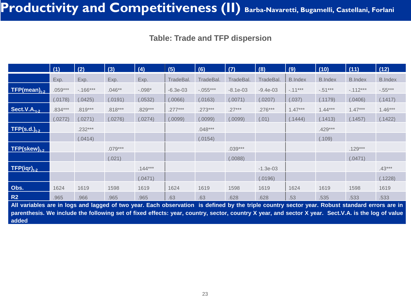#### **Table: Trade and TFP dispersion**

|                       | (1)       | (2)       | (3)       | (4)       | (5)        | (6)        | (7)        | (8)        | (9)            | (10)           | (11)           | (12)           |
|-----------------------|-----------|-----------|-----------|-----------|------------|------------|------------|------------|----------------|----------------|----------------|----------------|
|                       | Exp.      | Exp.      | Exp.      | Exp.      | TradeBal.  | TradeBal.  | TradeBal.  | TradeBal.  | <b>B.Index</b> | <b>B.Index</b> | <b>B.Index</b> | <b>B.Index</b> |
| $TFP(mean)_{t-2}$     | $.059***$ | $-166***$ | $.046**$  | $-.098*$  | $-6.3e-03$ | $-.055***$ | $-8.1e-03$ | $-9.4e-03$ | $-.11***$      | $-.51***$      | $-112***$      | $-.55***$      |
|                       | (.0178)   | (.0425)   | (.0191)   | (.0532)   | (.0066)    | (.0163)    | (.0071)    | (.0207)    | (.037)         | (.1179)        | (.0406)        | (.1417)        |
| Section 1.4.2         | .834***   | $.819***$ | $.818***$ | .829***   | $.277***$  | $.273***$  | $.27***$   | $.276***$  | $1.47***$      | $1.44***$      | $1.47***$      | $1.46***$      |
|                       | (.0272)   | (.0271)   | (.0276)   | (.0274)   | (.0099)    | (.0099)    | (.0099)    | (.01)      | (.1444)        | (.1413)        | (.1457)        | (.1422)        |
| $TFP(s.d.)_{t-2}$     |           | $.232***$ |           |           |            | $.048***$  |            |            |                | .429***        |                |                |
|                       |           | (.0414)   |           |           |            | (.0154)    |            |            |                | (.109)         |                |                |
| $TFP$ (skew) $_{t-2}$ |           |           | $.079***$ |           |            |            | $.039***$  |            |                |                | $.129***$      |                |
|                       |           |           | (.021)    |           |            |            | (.0088)    |            |                |                | (.0471)        |                |
| $TFP(iqr)_{t-2}$      |           |           |           | $.144***$ |            |            |            | $-1.3e-03$ |                |                |                | $.43***$       |
|                       |           |           |           | (.0471)   |            |            |            | (.0196)    |                |                |                | (.1228)        |
| Obs.                  | 1624      | 1619      | 1598      | 1619      | 1624       | 1619       | 1598       | 1619       | 1624           | 1619           | 1598           | 1619           |
| R2                    | .965      | .966      | .965      | .965      | .63        | .63        | .628       | .628       | .53            | .535           | .533           | .533           |

All variables are in logs and lagged of two year. Each observation is defined by the triple country sector year. Robust standard errors are in parenthesis. We include the following set of fixed effects: year, country, sector, country X year, and sector X year. Sect.V.A. is the log of value **added**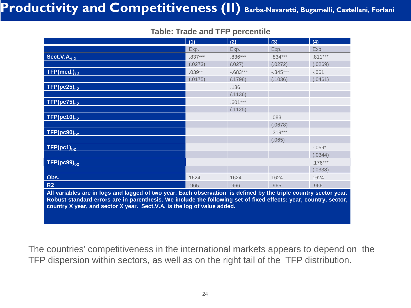# Productivity and Competitiveness (II) Barba-Navaretti, Bugamelli, Castellani, Forlani

#### **Table: Trade and TFP percentile**

|                                                                                                                  | (1)       | (2)        | (3)        | (4)       |
|------------------------------------------------------------------------------------------------------------------|-----------|------------|------------|-----------|
|                                                                                                                  | Exp.      | Exp.       | Exp.       | Exp.      |
| Sect. V.A., $_{2}$                                                                                               | $.837***$ | $.836***$  | $.834***$  | $.811***$ |
|                                                                                                                  | (.0273)   | (.027)     | (.0272)    | (.0269)   |
| $TFP(med.)_{t-2}$                                                                                                | $.039**$  | $-.683***$ | $-.345***$ | $-.061$   |
|                                                                                                                  | (.0175)   | (.1798)    | (.1036)    | (.0461)   |
| $TFP(pc25)_{t-2}$                                                                                                |           | .136       |            |           |
|                                                                                                                  |           | (.1136)    |            |           |
| $TFP(pc75)_{t-2}$                                                                                                |           | $.601***$  |            |           |
|                                                                                                                  |           | (.1125)    |            |           |
| $TFP(pc10)_{t-2}$                                                                                                |           |            | .083       |           |
|                                                                                                                  |           |            | (.0678)    |           |
| $TFP(pc90)_{1.2}$                                                                                                |           |            | $.319***$  |           |
|                                                                                                                  |           |            | (.065)     |           |
| $TFP(pc1)_{t-2}$                                                                                                 |           |            |            | $-.059*$  |
|                                                                                                                  |           |            |            | (.0344)   |
| $TFP(pc99)_{t-2}$                                                                                                |           |            |            | $.176***$ |
|                                                                                                                  |           |            |            | (.0338)   |
| Obs.                                                                                                             | 1624      | 1624       | 1624       | 1624      |
| R2                                                                                                               | .965      | .966       | .965       | .966      |
| All variables are in logs and lagged of two year. Each observation is defined by the triple country sector year. |           |            |            |           |
| Robust standard errors are in parenthesis. We include the following set of fixed effects: year, country, sector, |           |            |            |           |
| country X year, and sector X year. Sect.V.A. is the log of value added.                                          |           |            |            |           |

The countries' competitiveness in the international markets appears to depend on the TFP dispersion within sectors, as well as on the right tail of the TFP distribution.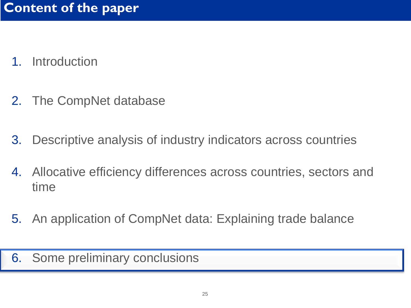- 1. Introduction
- 2. The CompNet database
- 3. Descriptive analysis of industry indicators across countries
- 4. Allocative efficiency differences across countries, sectors and time
- 5. An application of CompNet data: Explaining trade balance

6. Some preliminary conclusions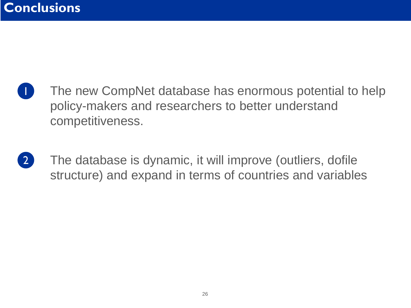- 1 The new CompNet database has enormous potential to help policy-makers and researchers to better understand competitiveness.
- 2 The database is dynamic, it will improve (outliers, dofile structure) and expand in terms of countries and variables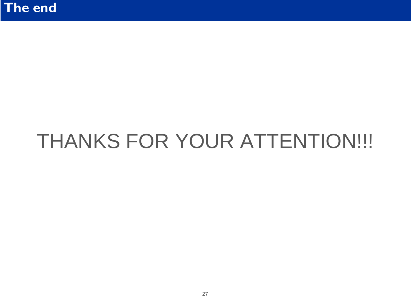# THANKS FOR YOUR ATTENTION!!!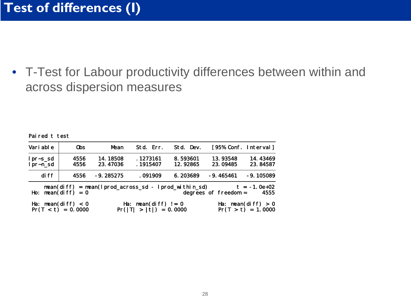• T-Test for Labour productivity differences between within and across dispersion measures

Paired t test

| Vari able              | 0bs                                          | Mean                                                       | Std. Err.                                         | Std. Dev.            |                        | [95% Conf. Interval]                         |
|------------------------|----------------------------------------------|------------------------------------------------------------|---------------------------------------------------|----------------------|------------------------|----------------------------------------------|
| $1pr-S_Sd$<br>lpr~n_sd | 4556<br>4556                                 | 14.18508<br>23.47036                                       | . 1273161<br>.1915407                             | 8.593601<br>12.92865 | 13.93548<br>23.09485   | 14.43469<br>23.84587                         |
| di ff                  | 4556                                         | $-9.285275$                                                | .091909                                           | 6.203689             | $-9.465461$            | $-9.105089$                                  |
| Ho:                    | $mean(diff) = 0$                             | $mean(diff) = mean(lprod\_across\_sd - lprod\_within\_sd)$ |                                                   |                      | degrees of freedom $=$ | $t = -1.0e+02$<br>4555                       |
|                        | Ha: mean(diff) $< 0$<br>$Pr(T < t) = 0.0000$ |                                                            | Ha: mean(diff) $!= 0$<br>$Pr( T  >  t ) = 0.0000$ |                      |                        | Ha: $mean(diff) > 0$<br>$Pr(T > t) = 1.0000$ |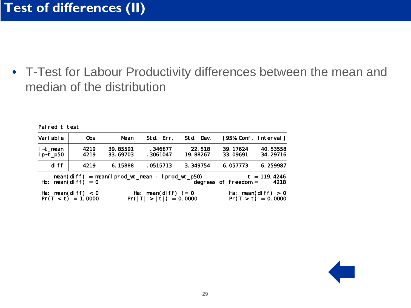Paired t test

<span id="page-28-0"></span>• T-Test for Labour Productivity differences between the mean and median of the distribution

| Vari able              | 0bs                                          | Mean                 | Std. Err.                                         | Std. Dev.          |                        | [95% Conf. Interval]                         |
|------------------------|----------------------------------------------|----------------------|---------------------------------------------------|--------------------|------------------------|----------------------------------------------|
| l~t mean<br>$lp-t_p50$ | 4219<br>4219                                 | 39.85591<br>33.69703 | .346677<br>. 3061047                              | 22.518<br>19.88267 | 39.17624<br>33.09691   | 40.53558<br>34.29716                         |
| di ff                  | 4219                                         | 6.15888              | .0515713                                          | 3.349754           | 6.057773               | 6.259987                                     |
| Ho:                    | $mean(diff) = 0$                             |                      | $mean(diff) = mean(lprod_wt_mean - lprod_wt_p50)$ |                    | degrees of freedom $=$ | $t = 119.4246$<br>4218                       |
|                        | Ha: mean(diff) $< 0$<br>$Pr(T < t) = 1.0000$ |                      | Ha: mean(diff) $!= 0$<br>$Pr( T  >  t ) = 0.0000$ |                    |                        | Ha: mean(diff) $> 0$<br>$Pr(T > t) = 0.0000$ |

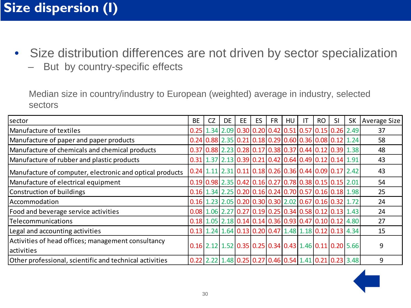# **Size dispersion (I)**

- Size distribution differences are not driven by sector specialization
	- But by country-specific effects

Median size in country/industry to European (weighted) average in industry, selected sectors

| sector                                                           | <b>BE</b> | <b>CZ</b> | <b>DE</b>                                                                                                  | EE | ES | <b>FR</b> | HU | IT | <b>RO</b> | SI | <b>SK</b> | <b>Average Size</b> |
|------------------------------------------------------------------|-----------|-----------|------------------------------------------------------------------------------------------------------------|----|----|-----------|----|----|-----------|----|-----------|---------------------|
| lManufacture of textiles                                         |           |           | $0.25$   1.34   2.09   0.30   0.20   0.42   0.51   0.57   0.15   0.26   2.49                               |    |    |           |    |    |           |    |           | 37                  |
| Manufacture of paper and paper products                          |           |           | $0.24 \, 0.88 \, 2.35 \, 0.21 \, 0.18 \, 0.29 \, 0.60 \, 0.36 \, 0.08 \, 0.12 \, 1.24$                     |    |    |           |    |    |           |    |           | 58                  |
| Manufacture of chemicals and chemical products                   |           |           | $0.37$ $0.88$ $2.23$ $0.28$ $0.17$ $0.38$ $0.37$ $0.44$ $0.12$ $0.39$ $1.38$                               |    |    |           |    |    |           |    |           | 48                  |
| Manufacture of rubber and plastic products                       |           |           | $0.31$   1.37   2.13   0.39   0.21   0.42   0.64   0.49   0.12   0.14   1.91                               |    |    |           |    |    |           |    |           | 43                  |
| Manufacture of computer, electronic and optical products         |           |           | $0.24$ 1.11 2.31 0.11 0.18 0.26 0.36 0.44 0.09 0.17 2.42                                                   |    |    |           |    |    |           |    |           | 43                  |
| Manufacture of electrical equipment                              |           |           | $0.19 \mid 0.98 \mid 2.35 \mid 0.42 \mid 0.16 \mid 0.27 \mid 0.78 \mid 0.38 \mid 0.15 \mid 0.15 \mid 2.01$ |    |    |           |    |    |           |    |           | 54                  |
| Construction of buildings                                        |           |           | $0.16$   1.34   2.25   0.20   0.16   0.24   0.70   0.57   0.16   0.18   1.98                               |    |    |           |    |    |           |    |           | 25                  |
| Accommodation                                                    |           |           | $0.16$ 1.23 2.05 0.20 0.30 0.30 2.02 0.67 0.16 0.32 1.72                                                   |    |    |           |    |    |           |    |           | 24                  |
| Food and beverage service activities                             |           |           | $0.08$ 1.06 2.27 0.27 0.19 0.25 0.34 0.58 0.12 0.13 1.43                                                   |    |    |           |    |    |           |    |           | 24                  |
| Telecommunications                                               |           |           | $0.18$ 1.05 2.18 0.14 0.14 0.36 0.93 0.47 0.10 0.12 4.80                                                   |    |    |           |    |    |           |    |           | 27                  |
| Legal and accounting activities                                  |           |           | $0.13$ 1.24 1.64 0.13 0.20 0.47 1.48 1.18 0.12 0.13 4.34                                                   |    |    |           |    |    |           |    |           | 15                  |
| Activities of head offices; management consultancy<br>activities |           |           | $0.16$   2.12   1.52   0.35   0.25   0.34   0.43   1.46   0.11   0.20   5.66                               |    |    |           |    |    |           |    |           | 9                   |
| Other professional, scientific and technical activities          |           |           | $0.22$   2.22   1.48   0.25   0.27   0.46   0.54   1.41   0.21   0.23   3.48                               |    |    |           |    |    |           |    |           | 9                   |

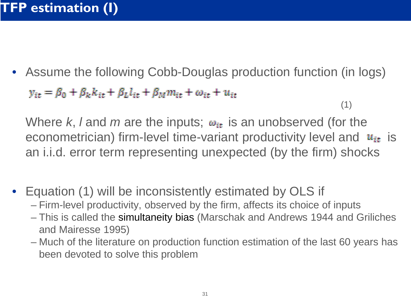• Assume the following Cobb-Douglas production function (in logs)  $y_{it} = \beta_0 + \beta_k k_{it} + \beta_l l_{it} + \beta_M m_{it} + \omega_{it} + u_{it}$ (1)

Where *k*, *l* and *m* are the inputs;  $\omega_{it}$  is an unobserved (for the econometrician) firm-level time-variant productivity level and  $u_{it}$  is an i.i.d. error term representing unexpected (by the firm) shocks

- Equation (1) will be inconsistently estimated by OLS if
	- Firm-level productivity, observed by the firm, affects its choice of inputs
	- This is called the simultaneity bias (Marschak and Andrews 1944 and Griliches and Mairesse 1995)
	- Much of the literature on production function estimation of the last 60 years has been devoted to solve this problem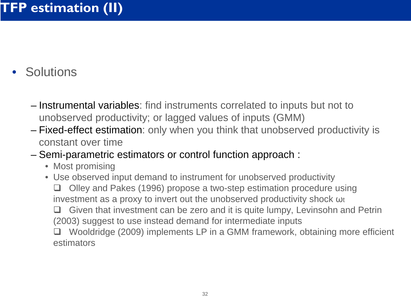# • Solutions

- Instrumental variables: find instruments correlated to inputs but not to unobserved productivity; or lagged values of inputs (GMM)
- Fixed-effect estimation: only when you think that unobserved productivity is constant over time
- Semi-parametric estimators or control function approach :
	- Most promising
	- Use observed input demand to instrument for unobserved productivity □ Olley and Pakes (1996) propose a two-step estimation procedure using investment as a proxy to invert out the unobserved productivity shock ωt Given that investment can be zero and it is quite lumpy, Levinsohn and Petrin (2003) suggest to use instead demand for intermediate inputs Wooldridge (2009) implements LP in a GMM framework, obtaining more efficient estimators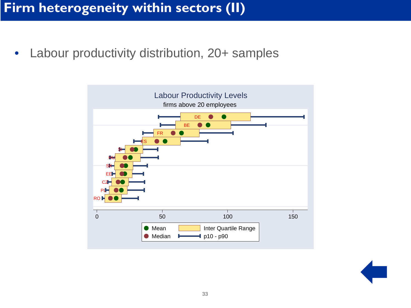<span id="page-32-0"></span>• Labour productivity distribution, 20+ samples



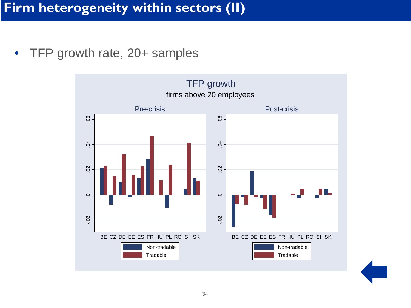<span id="page-33-0"></span>• TFP growth rate, 20+ samples

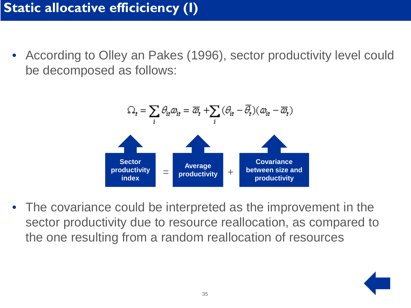<span id="page-34-0"></span>• According to Olley an Pakes (1996), sector productivity level could be decomposed as follows:



• The covariance could be interpreted as the improvement in the sector productivity due to resource reallocation, as compared to the one resulting from a random reallocation of resources

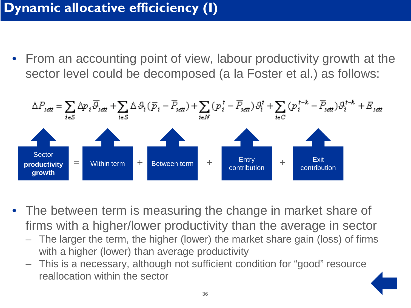# <span id="page-35-0"></span>**Dynamic allocative efficiciency (I)**

• From an accounting point of view, labour productivity growth at the sector level could be decomposed (a la Foster et al.) as follows:



- The between term is measuring the change in market share of firms with a higher/lower productivity than the average in sector
	- The larger the term, the higher (lower) the market share gain (loss) of firms with a higher (lower) than average productivity
	- This is a necessary, although not sufficient condition for "good" resource reallocation within the sector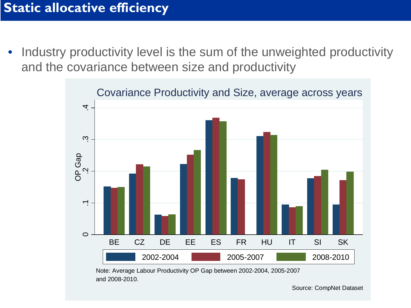Industry productivity level is the sum of the unweighted productivity and the covariance between size and productivity



Note: Average Labour Productivity OP Gap between 2002-2004, 2005-2007 and 2008-2010.

Source: CompNet Dataset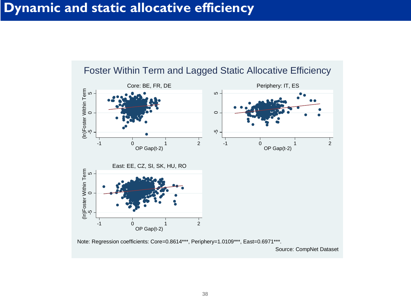